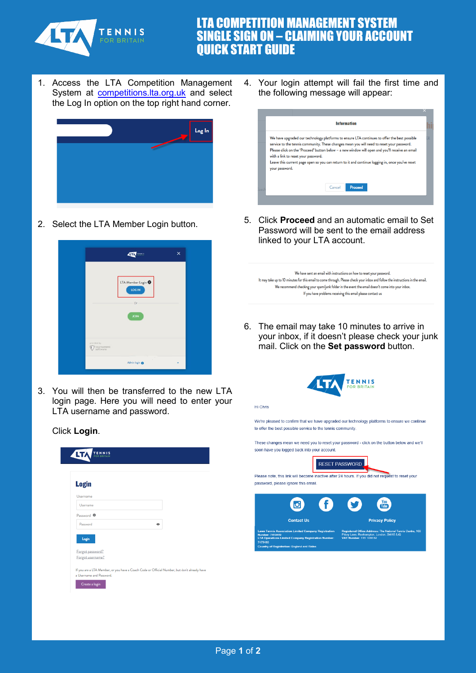

## LTA COMPETITION MANAGEMENT SYSTEM SINGLE SIGN ON – CLAIMING YOUR ACCOUNT QUICK START GUIDE

1. Access the LTA Competition Management System at **competitions. Ita.org.uk** and select the Log In option on the top right hand corner.



2. Select the LTA Member Login button.



3. You will then be transferred to the new LTA login page. Here you will need to enter your LTA username and password.

Click **Login**.

**TENNIS ALTA Login** Usernami Usernam Password <sup>6</sup> Password  $\ddot{\bullet}$ Login Forgot password? Forgot username? If you are a LTA Member, or you have a Coach Code or Official Number, but don't already have a Username and Password Create a login

4. Your login attempt will fail the first time and the following message will appear:



5. Click **Proceed** and an automatic email to Set Password will be sent to the email address linked to your LTA account.

We have sent an email with instructions on how to reset your password. It may take up to 10 minutes for this email to come through. Please check your inbox and follow the instructions in the email. We recommend checking your spam/junk folder in the event the email doesn't come into your inbox. If you have problems receiving this email please contact us

6. The email may take 10 minutes to arrive in your inbox, if it doesn't please check your junk mail. Click on the **Set password** button.



Hi Chris

We're pleased to confirm that we have upgraded our technology platforms to ensure we continue to offer the best possible service to the tennis community.

These changes mean we need you to reset your password - click on the button below and we'll soon have you logged back into your account.

RESET PASSWORD

Please note, this link will become inactive after 24 hours. If you did not request to reset your password, please ignore this email.